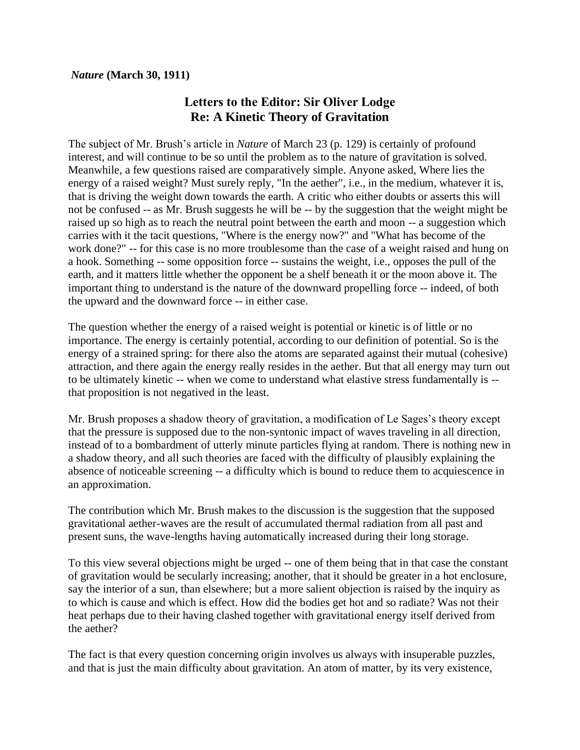## *Nature* **(March 30, 1911)**

## **Letters to the Editor: Sir Oliver Lodge Re: A Kinetic Theory of Gravitation**

The subject of Mr. Brush's article in *Nature* of March 23 (p. 129) is certainly of profound interest, and will continue to be so until the problem as to the nature of gravitation is solved. Meanwhile, a few questions raised are comparatively simple. Anyone asked, Where lies the energy of a raised weight? Must surely reply, "In the aether", i.e., in the medium, whatever it is, that is driving the weight down towards the earth. A critic who either doubts or asserts this will not be confused -- as Mr. Brush suggests he will be -- by the suggestion that the weight might be raised up so high as to reach the neutral point between the earth and moon -- a suggestion which carries with it the tacit questions, "Where is the energy now?" and "What has become of the work done?" -- for this case is no more troublesome than the case of a weight raised and hung on a hook. Something -- some opposition force -- sustains the weight, i.e., opposes the pull of the earth, and it matters little whether the opponent be a shelf beneath it or the moon above it. The important thing to understand is the nature of the downward propelling force -- indeed, of both the upward and the downward force -- in either case.

The question whether the energy of a raised weight is potential or kinetic is of little or no importance. The energy is certainly potential, according to our definition of potential. So is the energy of a strained spring: for there also the atoms are separated against their mutual (cohesive) attraction, and there again the energy really resides in the aether. But that all energy may turn out to be ultimately kinetic -- when we come to understand what elastive stress fundamentally is - that proposition is not negatived in the least.

Mr. Brush proposes a shadow theory of gravitation, a modification of Le Sages's theory except that the pressure is supposed due to the non-syntonic impact of waves traveling in all direction, instead of to a bombardment of utterly minute particles flying at random. There is nothing new in a shadow theory, and all such theories are faced with the difficulty of plausibly explaining the absence of noticeable screening -- a difficulty which is bound to reduce them to acquiescence in an approximation.

The contribution which Mr. Brush makes to the discussion is the suggestion that the supposed gravitational aether-waves are the result of accumulated thermal radiation from all past and present suns, the wave-lengths having automatically increased during their long storage.

To this view several objections might be urged -- one of them being that in that case the constant of gravitation would be secularly increasing; another, that it should be greater in a hot enclosure, say the interior of a sun, than elsewhere; but a more salient objection is raised by the inquiry as to which is cause and which is effect. How did the bodies get hot and so radiate? Was not their heat perhaps due to their having clashed together with gravitational energy itself derived from the aether?

The fact is that every question concerning origin involves us always with insuperable puzzles, and that is just the main difficulty about gravitation. An atom of matter, by its very existence,